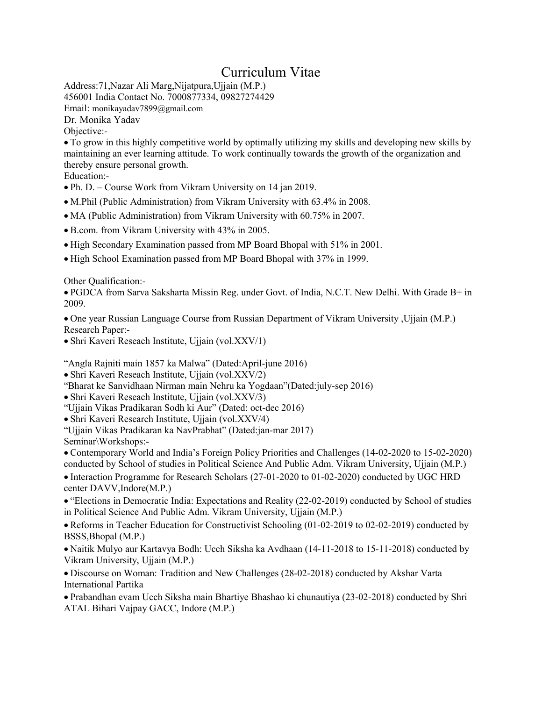## Curriculum Vitae

Address:71,Nazar Ali Marg,Nijatpura,Ujjain (M.P.) 456001 India Contact No. 7000877334, 09827274429 Email: monikayadav7899@gmail.com Dr. Monika Yadav Objective:-

 To grow in this highly competitive world by optimally utilizing my skills and developing new skills by maintaining an ever learning attitude. To work continually towards the growth of the organization and thereby ensure personal growth.

Education:-

- Ph. D. Course Work from Vikram University on 14 jan 2019.
- M.Phil (Public Administration) from Vikram University with 63.4% in 2008.
- MA (Public Administration) from Vikram University with 60.75% in 2007.
- B.com. from Vikram University with 43% in 2005.
- High Secondary Examination passed from MP Board Bhopal with 51% in 2001.
- High School Examination passed from MP Board Bhopal with 37% in 1999.

Other Qualification:-

 PGDCA from Sarva Saksharta Missin Reg. under Govt. of India, N.C.T. New Delhi. With Grade B+ in 2009.

 One year Russian Language Course from Russian Department of Vikram University ,Ujjain (M.P.) Research Paper:-

Shri Kaveri Reseach Institute, Ujjain (vol.XXV/1)

"Angla Rajniti main 1857 ka Malwa" (Dated:April-june 2016)

Shri Kaveri Reseach Institute, Ujjain (vol.XXV/2)

"Bharat ke Sanvidhaan Nirman main Nehru ka Yogdaan"(Dated:july-sep 2016)

- Shri Kaveri Reseach Institute, Ujjain (vol.XXV/3)
- "Ujjain Vikas Pradikaran Sodh ki Aur" (Dated: oct-dec 2016)
- Shri Kaveri Research Institute, Ujjain (vol.XXV/4)
- "Ujjain Vikas Pradikaran ka NavPrabhat" (Dated:jan-mar 2017)
- Seminar\Workshops:-

 Contemporary World and India's Foreign Policy Priorities and Challenges (14-02-2020 to 15-02-2020) conducted by School of studies in Political Science And Public Adm. Vikram University, Ujjain (M.P.)

• Interaction Programme for Research Scholars (27-01-2020 to 01-02-2020) conducted by UGC HRD center DAVV,Indore(M.P.)

 "Elections in Democratic India: Expectations and Reality (22-02-2019) conducted by School of studies in Political Science And Public Adm. Vikram University, Ujjain (M.P.)

• Reforms in Teacher Education for Constructivist Schooling (01-02-2019 to 02-02-2019) conducted by BSSS,Bhopal (M.P.)

• Naitik Mulyo aur Kartavya Bodh: Ucch Siksha ka Avdhaan (14-11-2018 to 15-11-2018) conducted by Vikram University, Ujjain (M.P.)

 Discourse on Woman: Tradition and New Challenges (28-02-2018) conducted by Akshar Varta International Partika

 Prabandhan evam Ucch Siksha main Bhartiye Bhashao ki chunautiya (23-02-2018) conducted by Shri ATAL Bihari Vajpay GACC, Indore (M.P.)